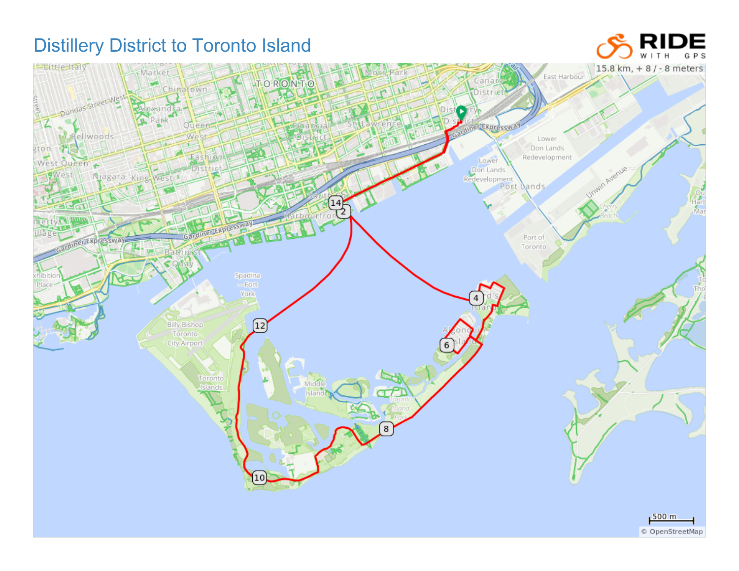## Distillery District to Toronto Island

## DE GPS